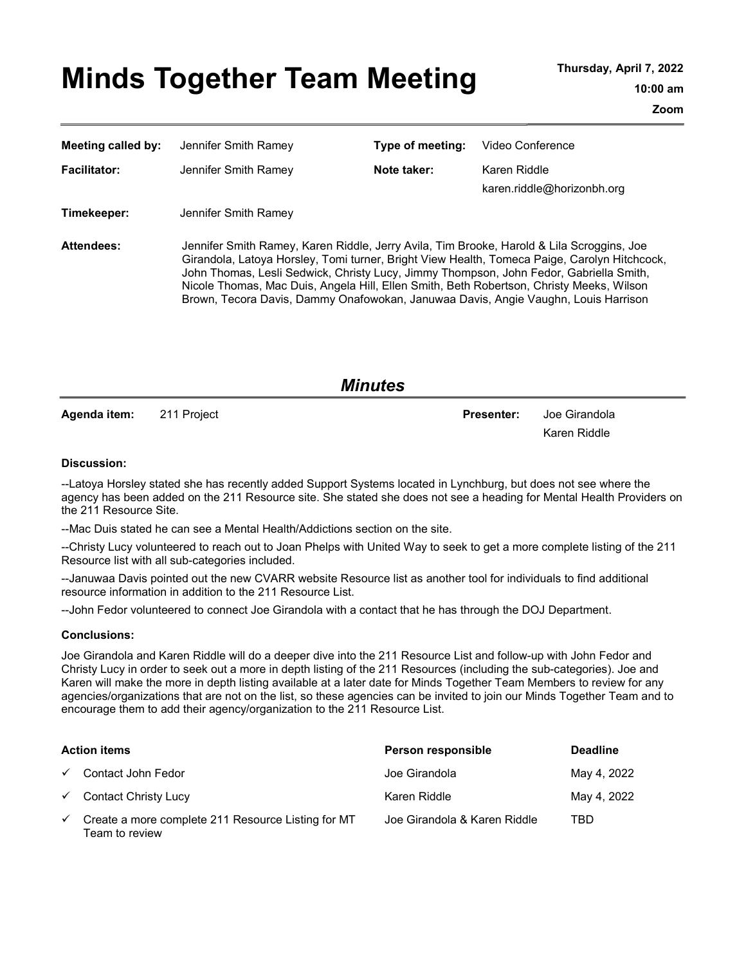# Minds Together Team Meeting Thursday, April 7, 2022

| Meeting called by:  | Jennifer Smith Ramey                                                                                                                                                                                                                                                                                                                                                                                                                                                  | Type of meeting: | Video Conference                           |
|---------------------|-----------------------------------------------------------------------------------------------------------------------------------------------------------------------------------------------------------------------------------------------------------------------------------------------------------------------------------------------------------------------------------------------------------------------------------------------------------------------|------------------|--------------------------------------------|
| <b>Facilitator:</b> | Jennifer Smith Ramev                                                                                                                                                                                                                                                                                                                                                                                                                                                  | Note taker:      | Karen Riddle<br>karen.riddle@horizonbh.org |
| Timekeeper:         | Jennifer Smith Ramey                                                                                                                                                                                                                                                                                                                                                                                                                                                  |                  |                                            |
| <b>Attendees:</b>   | Jennifer Smith Ramey, Karen Riddle, Jerry Avila, Tim Brooke, Harold & Lila Scroggins, Joe<br>Girandola, Latoya Horsley, Tomi turner, Bright View Health, Tomeca Paige, Carolyn Hitchcock,<br>John Thomas, Lesli Sedwick, Christy Lucy, Jimmy Thompson, John Fedor, Gabriella Smith,<br>Nicole Thomas, Mac Duis, Angela Hill, Ellen Smith, Beth Robertson, Christy Meeks, Wilson<br>Brown, Tecora Davis, Dammy Onafowokan, Januwaa Davis, Angie Vaughn, Louis Harrison |                  |                                            |

Agenda item: 211 Project **Presenter:** Joe Girandola

Minutes

Karen Riddle

#### Discussion:

--Latoya Horsley stated she has recently added Support Systems located in Lynchburg, but does not see where the agency has been added on the 211 Resource site. She stated she does not see a heading for Mental Health Providers on the 211 Resource Site.

--Mac Duis stated he can see a Mental Health/Addictions section on the site.

--Christy Lucy volunteered to reach out to Joan Phelps with United Way to seek to get a more complete listing of the 211 Resource list with all sub-categories included.

--Januwaa Davis pointed out the new CVARR website Resource list as another tool for individuals to find additional resource information in addition to the 211 Resource List.

--John Fedor volunteered to connect Joe Girandola with a contact that he has through the DOJ Department.

#### Conclusions:

Joe Girandola and Karen Riddle will do a deeper dive into the 211 Resource List and follow-up with John Fedor and Christy Lucy in order to seek out a more in depth listing of the 211 Resources (including the sub-categories). Joe and Karen will make the more in depth listing available at a later date for Minds Together Team Members to review for any agencies/organizations that are not on the list, so these agencies can be invited to join our Minds Together Team and to encourage them to add their agency/organization to the 211 Resource List.

|              | <b>Action items</b>                                                  | Person responsible           | <b>Deadline</b> |
|--------------|----------------------------------------------------------------------|------------------------------|-----------------|
|              | $\checkmark$ Contact John Fedor                                      | Joe Girandola                | May 4, 2022     |
|              | $\checkmark$ Contact Christy Lucy                                    | Karen Riddle                 | May 4, 2022     |
| $\checkmark$ | Create a more complete 211 Resource Listing for MT<br>Team to review | Joe Girandola & Karen Riddle | TBD             |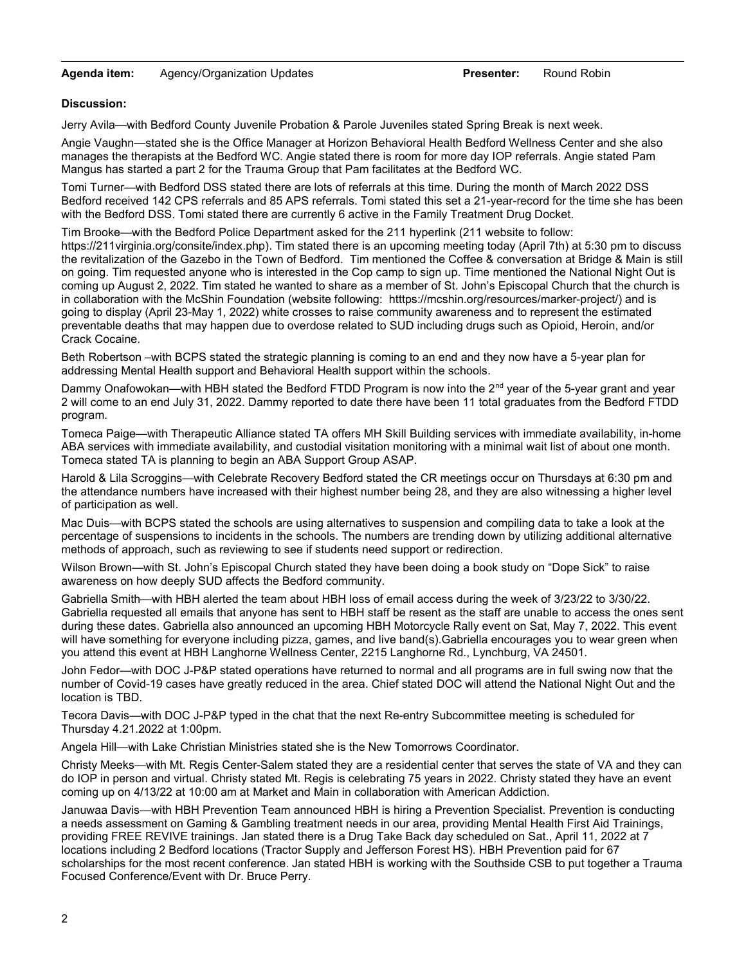## Agenda item: Agency/Organization Updates **Presenter:** Round Robin

## Discussion:

Jerry Avila—with Bedford County Juvenile Probation & Parole Juveniles stated Spring Break is next week.

Angie Vaughn—stated she is the Office Manager at Horizon Behavioral Health Bedford Wellness Center and she also manages the therapists at the Bedford WC. Angie stated there is room for more day IOP referrals. Angie stated Pam Mangus has started a part 2 for the Trauma Group that Pam facilitates at the Bedford WC.

Tomi Turner—with Bedford DSS stated there are lots of referrals at this time. During the month of March 2022 DSS Bedford received 142 CPS referrals and 85 APS referrals. Tomi stated this set a 21-year-record for the time she has been with the Bedford DSS. Tomi stated there are currently 6 active in the Family Treatment Drug Docket.

Tim Brooke—with the Bedford Police Department asked for the 211 hyperlink (211 website to follow: https://211virginia.org/consite/index.php). Tim stated there is an upcoming meeting today (April 7th) at 5:30 pm to discuss the revitalization of the Gazebo in the Town of Bedford. Tim mentioned the Coffee & conversation at Bridge & Main is still on going. Tim requested anyone who is interested in the Cop camp to sign up. Time mentioned the National Night Out is coming up August 2, 2022. Tim stated he wanted to share as a member of St. John's Episcopal Church that the church is in collaboration with the McShin Foundation (website following: htttps://mcshin.org/resources/marker-project/) and is going to display (April 23-May 1, 2022) white crosses to raise community awareness and to represent the estimated preventable deaths that may happen due to overdose related to SUD including drugs such as Opioid, Heroin, and/or Crack Cocaine.

Beth Robertson –with BCPS stated the strategic planning is coming to an end and they now have a 5-year plan for addressing Mental Health support and Behavioral Health support within the schools.

Dammy Onafowokan—with HBH stated the Bedford FTDD Program is now into the  $2^{nd}$  year of the 5-year grant and year 2 will come to an end July 31, 2022. Dammy reported to date there have been 11 total graduates from the Bedford FTDD program.

Tomeca Paige—with Therapeutic Alliance stated TA offers MH Skill Building services with immediate availability, in-home ABA services with immediate availability, and custodial visitation monitoring with a minimal wait list of about one month. Tomeca stated TA is planning to begin an ABA Support Group ASAP.

Harold & Lila Scroggins—with Celebrate Recovery Bedford stated the CR meetings occur on Thursdays at 6:30 pm and the attendance numbers have increased with their highest number being 28, and they are also witnessing a higher level of participation as well.

Mac Duis—with BCPS stated the schools are using alternatives to suspension and compiling data to take a look at the percentage of suspensions to incidents in the schools. The numbers are trending down by utilizing additional alternative methods of approach, such as reviewing to see if students need support or redirection.

Wilson Brown—with St. John's Episcopal Church stated they have been doing a book study on "Dope Sick" to raise awareness on how deeply SUD affects the Bedford community.

Gabriella Smith—with HBH alerted the team about HBH loss of email access during the week of 3/23/22 to 3/30/22. Gabriella requested all emails that anyone has sent to HBH staff be resent as the staff are unable to access the ones sent during these dates. Gabriella also announced an upcoming HBH Motorcycle Rally event on Sat, May 7, 2022. This event will have something for everyone including pizza, games, and live band(s).Gabriella encourages you to wear green when you attend this event at HBH Langhorne Wellness Center, 2215 Langhorne Rd., Lynchburg, VA 24501.

John Fedor—with DOC J-P&P stated operations have returned to normal and all programs are in full swing now that the number of Covid-19 cases have greatly reduced in the area. Chief stated DOC will attend the National Night Out and the location is TBD.

Tecora Davis—with DOC J-P&P typed in the chat that the next Re-entry Subcommittee meeting is scheduled for Thursday 4.21.2022 at 1:00pm.

Angela Hill—with Lake Christian Ministries stated she is the New Tomorrows Coordinator.

Christy Meeks—with Mt. Regis Center-Salem stated they are a residential center that serves the state of VA and they can do IOP in person and virtual. Christy stated Mt. Regis is celebrating 75 years in 2022. Christy stated they have an event coming up on 4/13/22 at 10:00 am at Market and Main in collaboration with American Addiction.

Januwaa Davis—with HBH Prevention Team announced HBH is hiring a Prevention Specialist. Prevention is conducting a needs assessment on Gaming & Gambling treatment needs in our area, providing Mental Health First Aid Trainings, providing FREE REVIVE trainings. Jan stated there is a Drug Take Back day scheduled on Sat., April 11, 2022 at 7 locations including 2 Bedford locations (Tractor Supply and Jefferson Forest HS). HBH Prevention paid for 67 scholarships for the most recent conference. Jan stated HBH is working with the Southside CSB to put together a Trauma Focused Conference/Event with Dr. Bruce Perry.